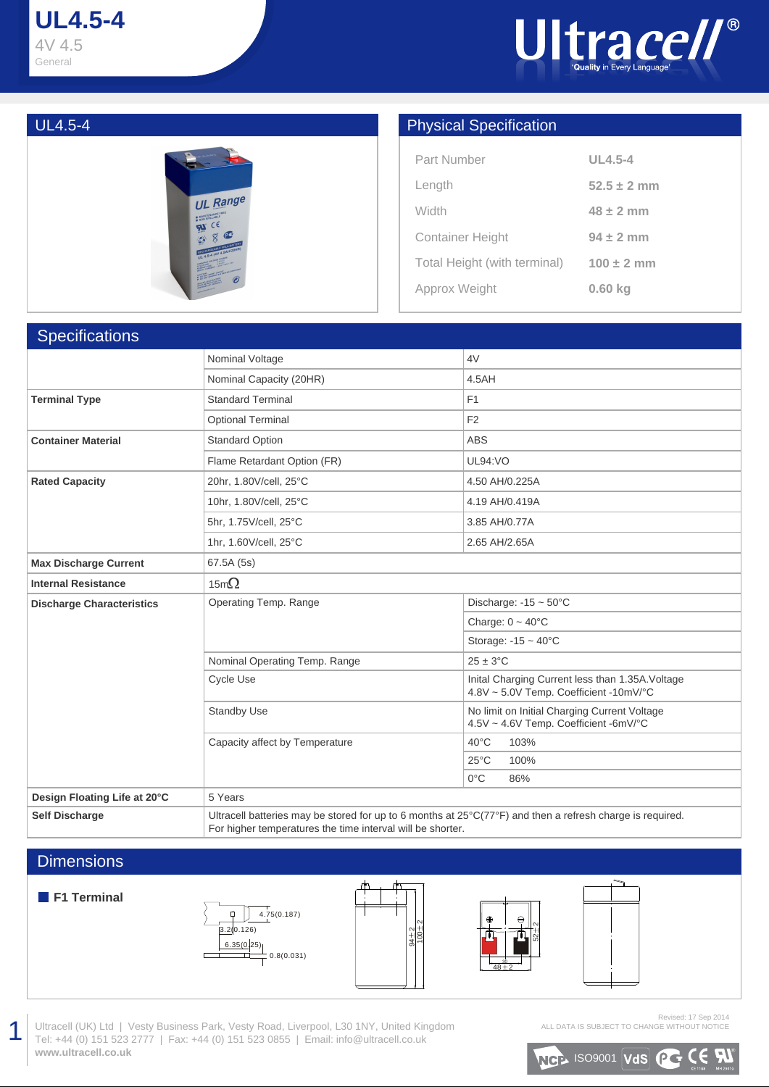# **UL4.5-4** 4V 4.5 General





## UL4.5-4 Physical Specification

| Part Number                  | $UL4.5-4$       |
|------------------------------|-----------------|
| Length                       | $52.5 \pm 2$ mm |
| Width                        | $48 \pm 2$ mm   |
| <b>Container Height</b>      | $94 \pm 2$ mm   |
| Total Height (with terminal) | $100 \pm 2$ mm  |
| Approx Weight                | $0.60$ kg       |

| <b>Specifications</b>            |                                                                                                                                                                                   |                                                                                            |  |  |  |  |  |  |  |
|----------------------------------|-----------------------------------------------------------------------------------------------------------------------------------------------------------------------------------|--------------------------------------------------------------------------------------------|--|--|--|--|--|--|--|
|                                  | Nominal Voltage                                                                                                                                                                   | 4V                                                                                         |  |  |  |  |  |  |  |
|                                  | Nominal Capacity (20HR)                                                                                                                                                           | 4.5AH                                                                                      |  |  |  |  |  |  |  |
| <b>Terminal Type</b>             | <b>Standard Terminal</b>                                                                                                                                                          | F1                                                                                         |  |  |  |  |  |  |  |
|                                  | <b>Optional Terminal</b>                                                                                                                                                          | F <sub>2</sub>                                                                             |  |  |  |  |  |  |  |
| <b>Container Material</b>        | <b>Standard Option</b>                                                                                                                                                            | <b>ABS</b>                                                                                 |  |  |  |  |  |  |  |
|                                  | Flame Retardant Option (FR)                                                                                                                                                       | <b>UL94:VO</b>                                                                             |  |  |  |  |  |  |  |
| <b>Rated Capacity</b>            | 20hr, 1.80V/cell, 25°C                                                                                                                                                            | 4.50 AH/0.225A                                                                             |  |  |  |  |  |  |  |
|                                  | 10hr, 1.80V/cell, 25°C                                                                                                                                                            | 4.19 AH/0.419A                                                                             |  |  |  |  |  |  |  |
|                                  | 5hr, 1.75V/cell, 25°C                                                                                                                                                             | 3.85 AH/0.77A                                                                              |  |  |  |  |  |  |  |
|                                  | 1hr, 1.60V/cell, 25°C                                                                                                                                                             | 2.65 AH/2.65A                                                                              |  |  |  |  |  |  |  |
| <b>Max Discharge Current</b>     | 67.5A (5s)                                                                                                                                                                        |                                                                                            |  |  |  |  |  |  |  |
| <b>Internal Resistance</b>       | 15m $\Omega$                                                                                                                                                                      |                                                                                            |  |  |  |  |  |  |  |
| <b>Discharge Characteristics</b> | Operating Temp. Range                                                                                                                                                             | Discharge: $-15 \sim 50^{\circ}$ C                                                         |  |  |  |  |  |  |  |
|                                  |                                                                                                                                                                                   | Charge: $0 \sim 40^{\circ}$ C                                                              |  |  |  |  |  |  |  |
|                                  |                                                                                                                                                                                   | Storage: $-15 \sim 40^{\circ}$ C                                                           |  |  |  |  |  |  |  |
|                                  | Nominal Operating Temp. Range                                                                                                                                                     | $25 \pm 3^{\circ}$ C                                                                       |  |  |  |  |  |  |  |
|                                  | Cycle Use                                                                                                                                                                         | Inital Charging Current less than 1.35A. Voltage<br>4.8V ~ 5.0V Temp. Coefficient -10mV/°C |  |  |  |  |  |  |  |
|                                  | <b>Standby Use</b>                                                                                                                                                                | No limit on Initial Charging Current Voltage<br>4.5V ~ 4.6V Temp. Coefficient -6mV/°C      |  |  |  |  |  |  |  |
|                                  | Capacity affect by Temperature                                                                                                                                                    | $40^{\circ}$ C<br>103%                                                                     |  |  |  |  |  |  |  |
|                                  |                                                                                                                                                                                   | $25^{\circ}$ C<br>100%                                                                     |  |  |  |  |  |  |  |
|                                  |                                                                                                                                                                                   | $0^{\circ}$ C<br>86%                                                                       |  |  |  |  |  |  |  |
| Design Floating Life at 20°C     | 5 Years                                                                                                                                                                           |                                                                                            |  |  |  |  |  |  |  |
| <b>Self Discharge</b>            | Ultracell batteries may be stored for up to 6 months at $25^{\circ}$ C(77°F) and then a refresh charge is required.<br>For higher temperatures the time interval will be shorter. |                                                                                            |  |  |  |  |  |  |  |

### **Dimensions**

#### **F1 Terminal**

1









Ultracell (UK) Ltd | Vesty Business Park, Vesty Road, Liverpool, L30 1NY, United Kingdom Tel: +44 (0) 151 523 2777 | Fax: +44 (0) 151 523 0855 | Email: info@ultracell.co.uk **www.ultracell.co.uk**

Revised: 17 Sep 2014 ALL DATA IS SUBJECT TO CHANGE WITHOUT NOTICE